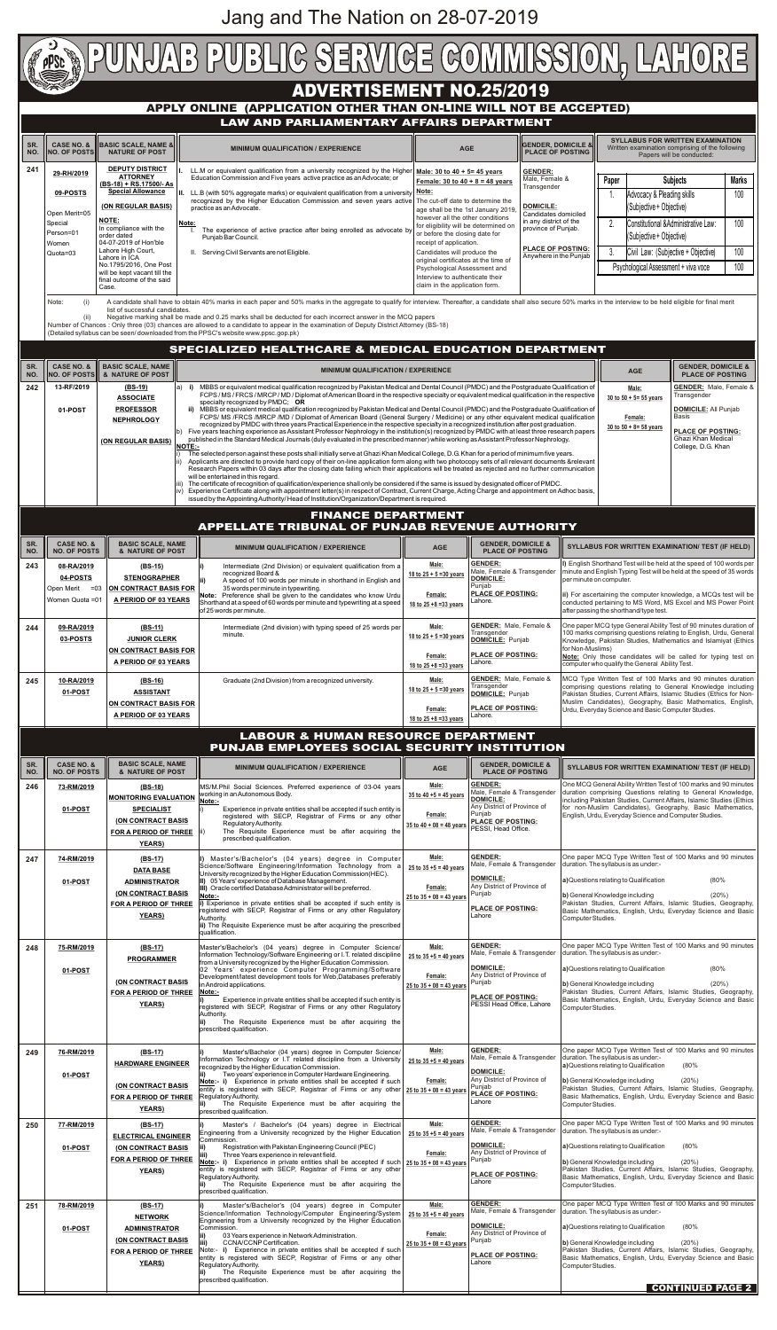

|            | PUNJAB EMPLOYEES SOCIAL SECURITY INSTITUTION |                                                                                                                               |                                                                                                                                                                                                                                                                                                                                                                                                                                                                                                                                                                                                                         |                                                                                 |                                                                                                                                                                    |                                                                                                                                                                                                                                                                                                                                                                                    |  |  |
|------------|----------------------------------------------|-------------------------------------------------------------------------------------------------------------------------------|-------------------------------------------------------------------------------------------------------------------------------------------------------------------------------------------------------------------------------------------------------------------------------------------------------------------------------------------------------------------------------------------------------------------------------------------------------------------------------------------------------------------------------------------------------------------------------------------------------------------------|---------------------------------------------------------------------------------|--------------------------------------------------------------------------------------------------------------------------------------------------------------------|------------------------------------------------------------------------------------------------------------------------------------------------------------------------------------------------------------------------------------------------------------------------------------------------------------------------------------------------------------------------------------|--|--|
| SR.<br>NO. | <b>CASE NO. &amp;</b><br><b>NO. OF POSTS</b> | <b>BASIC SCALE, NAME</b><br>& NATURE OF POST                                                                                  | <b>MINIMUM QUALIFICATION / EXPERIENCE</b>                                                                                                                                                                                                                                                                                                                                                                                                                                                                                                                                                                               | <b>AGE</b>                                                                      | <b>GENDER, DOMICILE &amp;</b><br><b>PLACE OF POSTING</b>                                                                                                           | <b>SYLLABUS FOR WRITTEN EXAMINATION/ TEST (IF HELD)</b>                                                                                                                                                                                                                                                                                                                            |  |  |
| 246        | 73-RM/2019<br>01-POST                        | (BS-18)<br><b>MONITORING EVALUATION</b><br><b>SPECIALIST</b><br>(ON CONTRACT BASIS<br>FOR A PERIOD OF THREE<br><b>YEARS</b> ) | MS/M.Phil Social Sciences. Preferred experience of 03-04 years<br>working in an Autonomous Body.<br>Note:-<br>Experience in private entities shall be accepted if such entity is<br>registered with SECP, Registrar of Firms or any other<br>Regulatory Authority.<br>The Requisite Experience must be after acquiring the<br>prescribed qualification.                                                                                                                                                                                                                                                                 | Male:<br>35 to 40 $+5 = 45$ years<br>Female:<br>35 to $40 + 08 = 48$ years      | <b>GENDER:</b><br>Male, Female & Transgender<br><b>DOMICILE:</b><br>Any District of Province of<br>Punjab<br><b>PLACE OF POSTING:</b><br>PESSI, Head Office.       | One MCQ General Ability Written Test of 100 marks and 90 minutes<br>duration comprising Questions relating to General Knowledge,<br>Including Pakistan Studies, Current Affairs, Islamic Studies (Ethics<br>for non-Muslim Candidates), Geography, Basic Mathematics,<br>English, Urdu, Everyday Science and Computer Studies.                                                     |  |  |
| 247        | 74-RM/2019<br>01-POST                        | (BS-17)<br><b>DATA BASE</b><br><b>ADMINISTRATOR</b><br><b>(ON CONTRACT BASIS</b><br>FOR A PERIOD OF THREE<br><b>YEARS)</b>    | Master's/Bachelor's (04 years) degree in Computer<br>Science/Software Engineering/Information Technology from a<br>University recognized by the Higher Education Commission (HEC).<br>II) 05 Years' experience of Database Management.<br>III) Oracle certified Database Administrator will be preferred.<br>Note:-<br>Experience in private entities shall be accepted if such entity is<br>registered with SECP, Registrar of Firms or any other Regulatory<br>Authority.<br>ii) The Requisite Experience must be after acquiring the prescribed<br>qualification.                                                    | Male:<br>25 to $35 + 5 = 40$ years<br>Female:<br>$25$ to $35 + 08 = 43$ years   | <b>GENDER:</b><br>Male, Female & Transgender<br><b>DOMICILE:</b><br>Any District of Province of<br>Punjab<br><b>PLACE OF POSTING:</b><br>Lahore                    | One paper MCQ Type Written Test of 100 Marks and 90 minutes<br>duration. The syllabus is as under:-<br>(80%<br>a) Questions relating to Qualification<br>b) General Knowledge including<br>(20%)<br>Pakistan Studies, Current Affairs, Islamic Studies, Geography,<br>Basic Mathematics, English, Urdu, Everyday Science and Basic<br>Computer Studies.                            |  |  |
| 248        | 75-RM/2019<br>01-POST                        | $(BS-17)$<br><b>PROGRAMMER</b><br><b>(ON CONTRACT BASIS</b><br>FOR A PERIOD OF THREE<br><b>YEARS)</b>                         | Master's/Bachelor's (04 years) degree in Computer Science/<br>Information Technology/Software Engineering or I.T. related discipline<br>from a University recognized by the Higher Education Commission.<br>02 Years' experience Computer Programming/Software<br>Development/latest development tools for Web, Databases preferably<br>in Android applications.<br>Note:-<br>Experience in private entities shall be accepted if such entity is<br>registered with SECP, Registrar of Firms or any other Regulatory<br>Authority.<br>The Requisite Experience must be after acquiring the<br>prescribed qualification. | Male:<br>$25$ to $35 + 5 = 40$ years<br>Female:<br>25 to $35 + 08 = 43$ years   | <b>GENDER:</b><br>Male, Female & Transgender<br><b>DOMICILE:</b><br>Any District of Province of<br>Punjab<br><b>PLACE OF POSTING:</b><br>PESSI Head Office, Lahore | One paper MCQ Type Written Test of 100 Marks and 90 minutes<br>duration. The syllabus is as under:-<br>(80%<br>a) Questions relating to Qualification<br>b) General Knowledge including<br>(20%)<br>Pakistan Studies, Current Affairs, Islamic Studies, Geography,<br>Basic Mathematics, English, Urdu, Everyday Science and Basic<br>Computer Studies.                            |  |  |
| 249        | 76-RM/2019<br>01-POST                        | $(BS-17)$<br><b>HARDWARE ENGINEER</b><br>(ON CONTRACT BASIS<br>FOR A PERIOD OF THREE<br><b>YEARS</b> )                        | Master's/Bachelor (04 years) degree in Computer Science/<br>Information Technology or I.T related discipline from a University<br>recognized by the Higher Education Commission.<br>Two years' experience in Computer Hardware Engineering.<br>Note:- i) Experience in private entities shall be accepted if such<br>entity is registered with SECP, Registrar of Firms or any other<br>Regulatory Authority.<br>The Requisite Experience must be after acquiring the<br>prescribed qualification.                                                                                                                      | Male:<br>25 to $35 + 5 = 40$ years<br>Female:<br>25 to $35 + 08 = 43$ years     | <b>GENDER:</b><br>Male, Female & Transgender<br><b>DOMICILE:</b><br>Any District of Province of<br>Punjab<br><b>PLACE OF POSTING:</b><br>Lahore                    | One paper MCQ Type Written Test of 100 Marks and 90 minutes<br>duration. The syllabus is as under:-<br>a) Questions relating to Qualification<br>(80%<br>b) General Knowledge including<br>(20%)<br>Pakistan Studies, Current Affairs, Islamic Studies, Geography,<br>Basic Mathematics, English, Urdu, Everyday Science and Basic<br>Computer Studies.                            |  |  |
| 250        | 77-RM/2019<br>01-POST                        | (BS-17)<br><b>ELECTRICAL ENGINEER</b><br>(ON CONTRACT BASIS<br>FOR A PERIOD OF THREE<br><b>YEARS</b> )                        | Master's / Bachelor's (04 years) degree in Electrical<br>Engineering from a University recognized by the Higher Education<br>Commission.<br>Registration with Pakistan Engineering Council (PEC)<br>Three Years experience in relevant field.<br>Note:- i) Experience in private entities shall be accepted if such $25$ to $35 + 08 = 43$ years<br>entity is registered with SECP, Registrar of Firms or any other<br>Regulatory Authority.<br>The Requisite Experience must be after acquiring the<br>prescribed qualification.                                                                                       | Male:<br>25 to $35 + 5 = 40$ years<br>Female:                                   | <b>GENDER:</b><br>Male, Female & Transgender<br><b>DOMICILE:</b><br>Any District of Province of<br>Punjab<br><b>PLACE OF POSTING:</b><br>Lahore                    | One paper MCQ Type Written Test of 100 Marks and 90 minutes<br>duration. The syllabus is as under:-<br>a) Questions relating to Qualification<br>(80%<br>b) General Knowledge including<br>$(20\%)$<br>Pakistan Studies, Current Affairs, Islamic Studies, Geography,<br>Basic Mathematics, English, Urdu, Everyday Science and Basic<br>Computer Studies.                         |  |  |
| 251        | 78-RM/2019<br>01-POST                        | (BS-17)<br><b>NETWORK</b><br><b>ADMINISTRATOR</b><br>(ON CONTRACT BASIS<br>FOR A PERIOD OF THREE<br><b>YEARS)</b>             | Master's/Bachelor's (04 years) degree in Computer<br>Science/Information Technology/Computer Engineering/System<br>Engineering from a University recognized by the Higher Education<br>Commission.<br>03 Years experience in Network Administration.<br>CCNA/CCNP Certification.<br>Note:- i) Experience in private entities shall be accepted if such<br>entity is registered with SECP, Registrar of Firms or any other<br>Regulatory Authority.<br>The Requisite Experience must be after acquiring the<br>prescribed qualification.                                                                                 | Male:<br>$25$ to $35 + 5 = 40$ years<br>Female:<br>$25$ to $35 + 08 = 43$ years | <b>GENDER:</b><br>Male, Female & Transgender<br><b>DOMICILE:</b><br>Any District of Province of<br>Punjab<br><b>PLACE OF POSTING:</b><br>Lahore                    | One paper MCQ Type Written Test of 100 Marks and 90 minutes<br>duration. The syllabus is as under:-<br>(80%<br>a) Questions relating to Qualification<br>b) General Knowledge including<br>(20%)<br>Pakistan Studies, Current Affairs, Islamic Studies, Geography,<br>Basic Mathematics, English, Urdu, Everyday Science and Basic<br>Computer Studies.<br><b>CONTINUED PAGE 2</b> |  |  |

**LABOUR & HUMAN RESOURCE DEPARTMENT**

Jang and The Nation on 28-07-2019